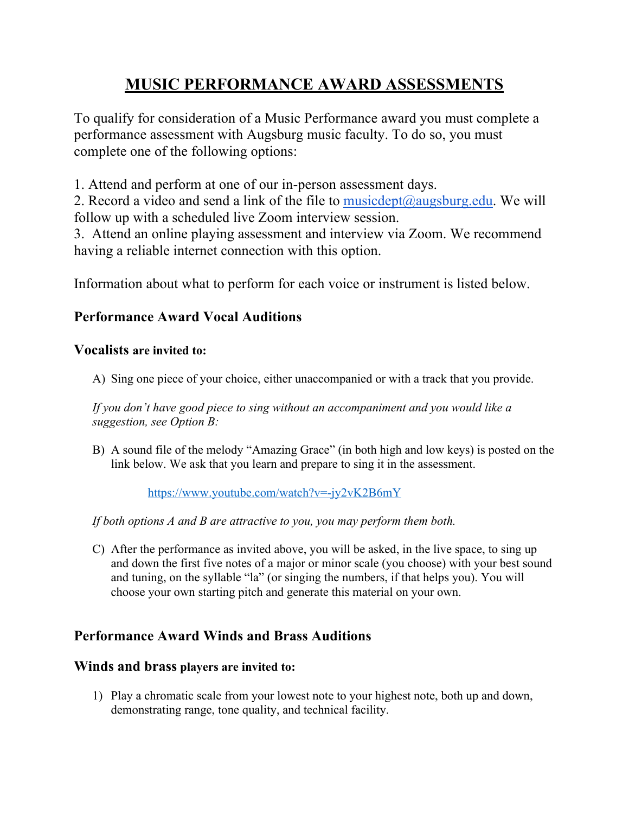# **MUSIC PERFORMANCE AWARD ASSESSMENTS**

To qualify for consideration of a Music Performance award you must complete a performance assessment with Augsburg music faculty. To do so, you must complete one of the following options:

1. Attend and perform at one of our in-person assessment days.

2. Record a video and send a link of the file to musicdept@augsburg.edu. We will follow up with a scheduled live Zoom interview session.

3. Attend an online playing assessment and interview via Zoom. We recommend having a reliable internet connection with this option.

Information about what to perform for each voice or instrument is listed below.

## **Performance Award Vocal Auditions**

## **Vocalists are invited to:**

A) Sing one piece of your choice, either unaccompanied or with a track that you provide.

*If you don't have good piece to sing without an accompaniment and you would like a suggestion, see Option B:*

B) A sound file of the melody "Amazing Grace" (in both high and low keys) is posted on the link below. We ask that you learn and prepare to sing it in the assessment.

https://www.youtube.com/watch?v=-jy2vK2B6mY

*If both options A and B are attractive to you, you may perform them both.*

C) After the performance as invited above, you will be asked, in the live space, to sing up and down the first five notes of a major or minor scale (you choose) with your best sound and tuning, on the syllable "la" (or singing the numbers, if that helps you). You will choose your own starting pitch and generate this material on your own.

## **Performance Award Winds and Brass Auditions**

## **Winds and brass players are invited to:**

1) Play a chromatic scale from your lowest note to your highest note, both up and down, demonstrating range, tone quality, and technical facility.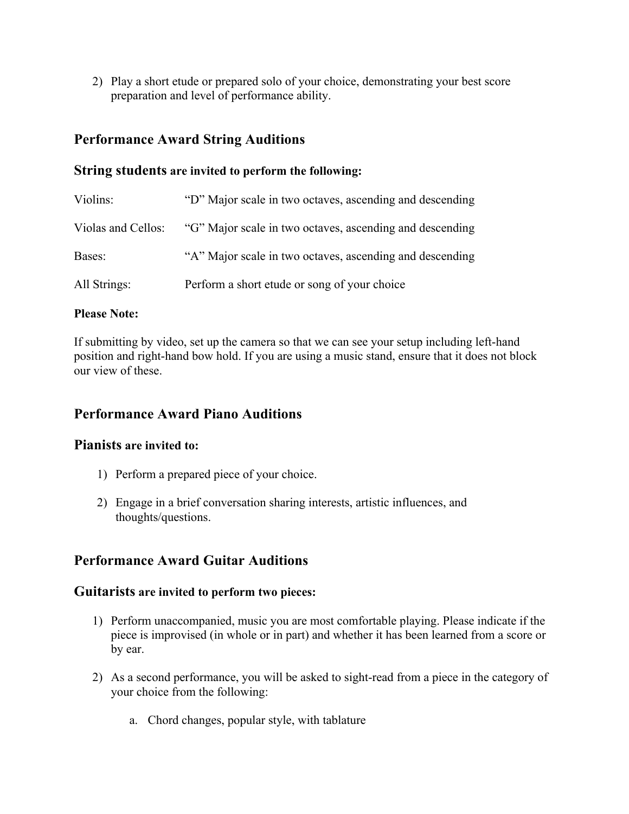2) Play a short etude or prepared solo of your choice, demonstrating your best score preparation and level of performance ability.

## **Performance Award String Auditions**

### **String students are invited to perform the following:**

| Violins:           | "D" Major scale in two octaves, ascending and descending |
|--------------------|----------------------------------------------------------|
| Violas and Cellos: | "G" Major scale in two octaves, ascending and descending |
| Bases:             | "A" Major scale in two octaves, ascending and descending |
| All Strings:       | Perform a short etude or song of your choice             |

#### **Please Note:**

If submitting by video, set up the camera so that we can see your setup including left-hand position and right-hand bow hold. If you are using a music stand, ensure that it does not block our view of these.

## **Performance Award Piano Auditions**

### **Pianists are invited to:**

- 1) Perform a prepared piece of your choice.
- 2) Engage in a brief conversation sharing interests, artistic influences, and thoughts/questions.

## **Performance Award Guitar Auditions**

#### **Guitarists are invited to perform two pieces:**

- 1) Perform unaccompanied, music you are most comfortable playing. Please indicate if the piece is improvised (in whole or in part) and whether it has been learned from a score or by ear.
- 2) As a second performance, you will be asked to sight-read from a piece in the category of your choice from the following:
	- a. Chord changes, popular style, with tablature